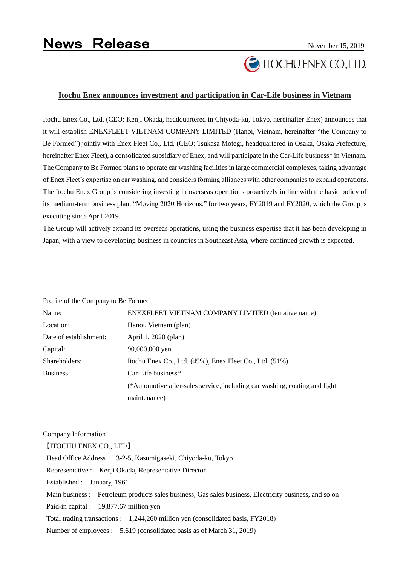# **TOCHU ENEX CO.,LTD.**

### **Itochu Enex announces investment and participation in Car-Life business in Vietnam**

Itochu Enex Co., Ltd. (CEO: Kenji Okada, headquartered in Chiyoda-ku, Tokyo, hereinafter Enex) announces that it will establish ENEXFLEET VIETNAM COMPANY LIMITED (Hanoi, Vietnam, hereinafter "the Company to Be Formed") jointly with Enex Fleet Co., Ltd. (CEO: Tsukasa Motegi, headquartered in Osaka, Osaka Prefecture, hereinafter Enex Fleet), a consolidated subsidiary of Enex, and will participate in the Car-Life business\* in Vietnam. The Company to Be Formed plans to operate car washing facilities in large commercial complexes, taking advantage of Enex Fleet's expertise on car washing, and considers forming alliances with other companies to expand operations. The Itochu Enex Group is considering investing in overseas operations proactively in line with the basic policy of its medium-term business plan, "Moving 2020 Horizons," for two years, FY2019 and FY2020, which the Group is executing since April 2019.

The Group will actively expand its overseas operations, using the business expertise that it has been developing in Japan, with a view to developing business in countries in Southeast Asia, where continued growth is expected.

| Profile of the Company to Be Formed |                                                                            |
|-------------------------------------|----------------------------------------------------------------------------|
| Name:                               | ENEXFLEET VIETNAM COMPANY LIMITED (tentative name)                         |
| Location:                           | Hanoi, Vietnam (plan)                                                      |
| Date of establishment:              | April 1, 2020 (plan)                                                       |
| Capital:                            | 90,000,000 yen                                                             |
| Shareholders:                       | Itochu Enex Co., Ltd. (49%), Enex Fleet Co., Ltd. (51%)                    |
| Business:                           | Car-Life business*                                                         |
|                                     | (*Automotive after-sales service, including car washing, coating and light |
|                                     | maintenance)                                                               |

#### Company Information

【ITOCHU ENEX CO., LTD】

Head Office Address: 3-2-5, Kasumigaseki, Chiyoda-ku, Tokyo

Representative : Kenji Okada, Representative Director

Established : January, 1961

Main business : Petroleum products sales business, Gas sales business, Electricity business, and so on

Paid-in capital : 19,877.67 million yen

Total trading transactions : 1,244,260 million yen (consolidated basis, FY2018)

Number of employees : 5,619 (consolidated basis as of March 31, 2019)